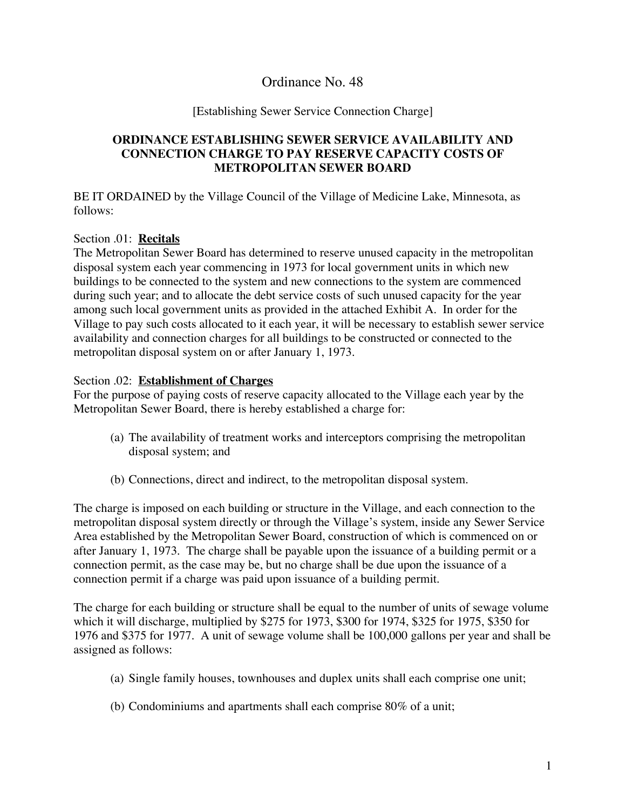# Ordinance No. 48

#### [Establishing Sewer Service Connection Charge]

### **ORDINANCE ESTABLISHING SEWER SERVICE AVAILABILITY AND CONNECTION CHARGE TO PAY RESERVE CAPACITY COSTS OF METROPOLITAN SEWER BOARD**

BE IT ORDAINED by the Village Council of the Village of Medicine Lake, Minnesota, as follows:

#### Section .01: **Recitals**

The Metropolitan Sewer Board has determined to reserve unused capacity in the metropolitan disposal system each year commencing in 1973 for local government units in which new buildings to be connected to the system and new connections to the system are commenced during such year; and to allocate the debt service costs of such unused capacity for the year among such local government units as provided in the attached Exhibit A. In order for the Village to pay such costs allocated to it each year, it will be necessary to establish sewer service availability and connection charges for all buildings to be constructed or connected to the metropolitan disposal system on or after January 1, 1973.

#### Section .02: **Establishment of Charges**

For the purpose of paying costs of reserve capacity allocated to the Village each year by the Metropolitan Sewer Board, there is hereby established a charge for:

- (a) The availability of treatment works and interceptors comprising the metropolitan disposal system; and
- (b) Connections, direct and indirect, to the metropolitan disposal system.

The charge is imposed on each building or structure in the Village, and each connection to the metropolitan disposal system directly or through the Village's system, inside any Sewer Service Area established by the Metropolitan Sewer Board, construction of which is commenced on or after January 1, 1973. The charge shall be payable upon the issuance of a building permit or a connection permit, as the case may be, but no charge shall be due upon the issuance of a connection permit if a charge was paid upon issuance of a building permit.

The charge for each building or structure shall be equal to the number of units of sewage volume which it will discharge, multiplied by \$275 for 1973, \$300 for 1974, \$325 for 1975, \$350 for 1976 and \$375 for 1977. A unit of sewage volume shall be 100,000 gallons per year and shall be assigned as follows:

- (a) Single family houses, townhouses and duplex units shall each comprise one unit;
- (b) Condominiums and apartments shall each comprise 80% of a unit;